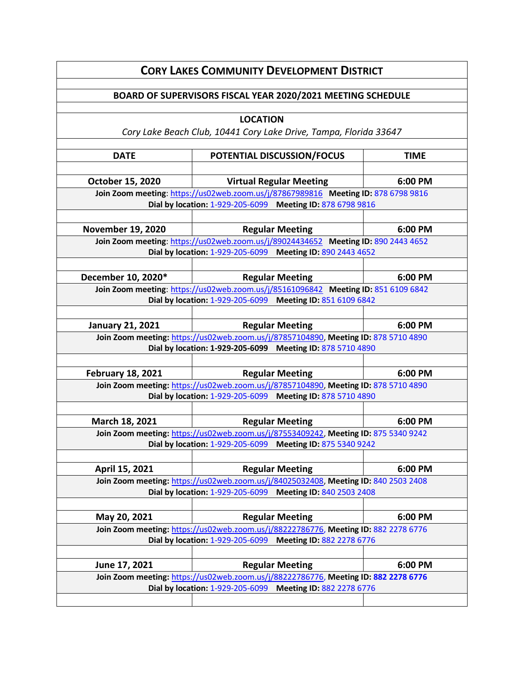| <b>CORY LAKES COMMUNITY DEVELOPMENT DISTRICT</b>                                                                                                  |                                                                                                                                                  |             |  |
|---------------------------------------------------------------------------------------------------------------------------------------------------|--------------------------------------------------------------------------------------------------------------------------------------------------|-------------|--|
| BOARD OF SUPERVISORS FISCAL YEAR 2020/2021 MEETING SCHEDULE                                                                                       |                                                                                                                                                  |             |  |
| <b>LOCATION</b>                                                                                                                                   |                                                                                                                                                  |             |  |
| Cory Lake Beach Club, 10441 Cory Lake Drive, Tampa, Florida 33647                                                                                 |                                                                                                                                                  |             |  |
|                                                                                                                                                   |                                                                                                                                                  |             |  |
| <b>DATE</b>                                                                                                                                       | POTENTIAL DISCUSSION/FOCUS                                                                                                                       | <b>TIME</b> |  |
| October 15, 2020                                                                                                                                  | <b>Virtual Regular Meeting</b>                                                                                                                   | 6:00 PM     |  |
|                                                                                                                                                   |                                                                                                                                                  |             |  |
| Join Zoom meeting: https://us02web.zoom.us/j/87867989816 Meeting ID: 878 6798 9816<br>Dial by location: 1-929-205-6099 Meeting ID: 878 6798 9816  |                                                                                                                                                  |             |  |
|                                                                                                                                                   |                                                                                                                                                  |             |  |
| <b>November 19, 2020</b>                                                                                                                          | <b>Regular Meeting</b>                                                                                                                           | 6:00 PM     |  |
| Join Zoom meeting: https://us02web.zoom.us/j/89024434652 Meeting ID: 890 2443 4652                                                                |                                                                                                                                                  |             |  |
| Dial by location: 1-929-205-6099 Meeting ID: 890 2443 4652                                                                                        |                                                                                                                                                  |             |  |
|                                                                                                                                                   |                                                                                                                                                  |             |  |
| December 10, 2020*                                                                                                                                | <b>Regular Meeting</b>                                                                                                                           | 6:00 PM     |  |
|                                                                                                                                                   | Join Zoom meeting: https://us02web.zoom.us/j/85161096842 Meeting ID: 851 6109 6842<br>Dial by location: 1-929-205-6099 Meeting ID: 851 6109 6842 |             |  |
|                                                                                                                                                   |                                                                                                                                                  |             |  |
| <b>January 21, 2021</b>                                                                                                                           | <b>Regular Meeting</b>                                                                                                                           | 6:00 PM     |  |
| Join Zoom meeting: https://us02web.zoom.us/j/87857104890, Meeting ID: 878 5710 4890                                                               |                                                                                                                                                  |             |  |
|                                                                                                                                                   | Dial by location: 1-929-205-6099 Meeting ID: 878 5710 4890                                                                                       |             |  |
|                                                                                                                                                   |                                                                                                                                                  |             |  |
| <b>February 18, 2021</b>                                                                                                                          | <b>Regular Meeting</b>                                                                                                                           | 6:00 PM     |  |
| Join Zoom meeting: https://us02web.zoom.us/j/87857104890, Meeting ID: 878 5710 4890<br>Dial by location: 1-929-205-6099 Meeting ID: 878 5710 4890 |                                                                                                                                                  |             |  |
|                                                                                                                                                   |                                                                                                                                                  |             |  |
| March 18, 2021                                                                                                                                    | <b>Regular Meeting</b>                                                                                                                           | 6:00 PM     |  |
|                                                                                                                                                   | Join Zoom meeting: https://us02web.zoom.us/j/87553409242, Meeting ID: 875 5340 9242                                                              |             |  |
| Dial by location: 1-929-205-6099 Meeting ID: 875 5340 9242                                                                                        |                                                                                                                                                  |             |  |
|                                                                                                                                                   |                                                                                                                                                  |             |  |
| April 15, 2021                                                                                                                                    | <b>Regular Meeting</b>                                                                                                                           | 6:00 PM     |  |
| Join Zoom meeting: https://us02web.zoom.us/j/84025032408, Meeting ID: 840 2503 2408<br>Dial by location: 1-929-205-6099 Meeting ID: 840 2503 2408 |                                                                                                                                                  |             |  |
|                                                                                                                                                   |                                                                                                                                                  |             |  |
| May 20, 2021                                                                                                                                      | <b>Regular Meeting</b>                                                                                                                           | 6:00 PM     |  |
|                                                                                                                                                   | Join Zoom meeting: https://us02web.zoom.us/j/88222786776, Meeting ID: 882 2278 6776                                                              |             |  |
| Dial by location: 1-929-205-6099 Meeting ID: 882 2278 6776                                                                                        |                                                                                                                                                  |             |  |
|                                                                                                                                                   |                                                                                                                                                  |             |  |
| June 17, 2021                                                                                                                                     | <b>Regular Meeting</b>                                                                                                                           | 6:00 PM     |  |
| Join Zoom meeting: https://us02web.zoom.us/j/88222786776, Meeting ID: 882 2278 6776                                                               |                                                                                                                                                  |             |  |
| Meeting ID: 882 2278 6776<br>Dial by location: 1-929-205-6099                                                                                     |                                                                                                                                                  |             |  |
|                                                                                                                                                   |                                                                                                                                                  |             |  |